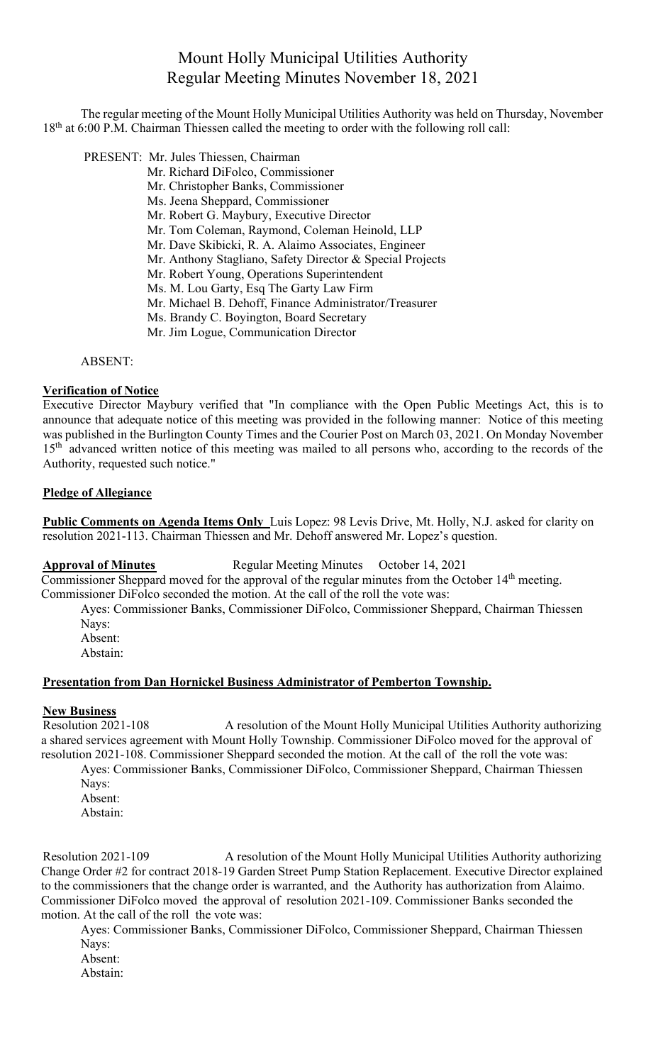# Mount Holly Municipal Utilities Authority Regular Meeting Minutes November 18, 2021

The regular meeting of the Mount Holly Municipal Utilities Authority was held on Thursday, November 18<sup>th</sup> at 6:00 P.M. Chairman Thiessen called the meeting to order with the following roll call:

PRESENT: Mr. Jules Thiessen, Chairman

- Mr. Richard DiFolco, Commissioner Mr. Christopher Banks, Commissioner
	- Ms. Jeena Sheppard, Commissioner
	- Mr. Robert G. Maybury, Executive Director
	- Mr. Tom Coleman, Raymond, Coleman Heinold, LLP
	- Mr. Dave Skibicki, R. A. Alaimo Associates, Engineer
	- Mr. Anthony Stagliano, Safety Director & Special Projects
	- Mr. Robert Young, Operations Superintendent
	- Ms. M. Lou Garty, Esq The Garty Law Firm
	- Mr. Michael B. Dehoff, Finance Administrator/Treasurer
	- Ms. Brandy C. Boyington, Board Secretary
	- Mr. Jim Logue, Communication Director

ABSENT:

# **Verification of Notice**

Executive Director Maybury verified that "In compliance with the Open Public Meetings Act, this is to announce that adequate notice of this meeting was provided in the following manner: Notice of this meeting was published in the Burlington County Times and the Courier Post on March 03, 2021. On Monday November 15<sup>th</sup> advanced written notice of this meeting was mailed to all persons who, according to the records of the Authority, requested such notice."

### **Pledge of Allegiance**

**Public Comments on Agenda Items Only** Luis Lopez: 98 Levis Drive, Mt. Holly, N.J. asked for clarity on resolution 2021-113. Chairman Thiessen and Mr. Dehoff answered Mr. Lopez's question.

**Approval of Minutes** Regular Meeting Minutes October 14, 2021

Commissioner Sheppard moved for the approval of the regular minutes from the October 14<sup>th</sup> meeting. Commissioner DiFolco seconded the motion. At the call of the roll the vote was:

Ayes: Commissioner Banks, Commissioner DiFolco, Commissioner Sheppard, Chairman Thiessen Nays:

- Absent:
- Abstain:

# **Presentation from Dan Hornickel Business Administrator of Pemberton Township.**

# **New Business**

Resolution 2021-108 A resolution of the Mount Holly Municipal Utilities Authority authorizing a shared services agreement with Mount Holly Township. Commissioner DiFolco moved for the approval of resolution 2021-108. Commissioner Sheppard seconded the motion. At the call of the roll the vote was: Ayes: Commissioner Banks, Commissioner DiFolco, Commissioner Sheppard, Chairman Thiessen

Nays: Absent: Abstain:

Resolution 2021-109 A resolution of the Mount Holly Municipal Utilities Authority authorizing Change Order #2 for contract 2018-19 Garden Street Pump Station Replacement. Executive Director explained to the commissioners that the change order is warranted, and the Authority has authorization from Alaimo. Commissioner DiFolco moved the approval of resolution 2021-109. Commissioner Banks seconded the motion. At the call of the roll the vote was:

Ayes: Commissioner Banks, Commissioner DiFolco, Commissioner Sheppard, Chairman Thiessen Navs:

- Absent:
- Abstain: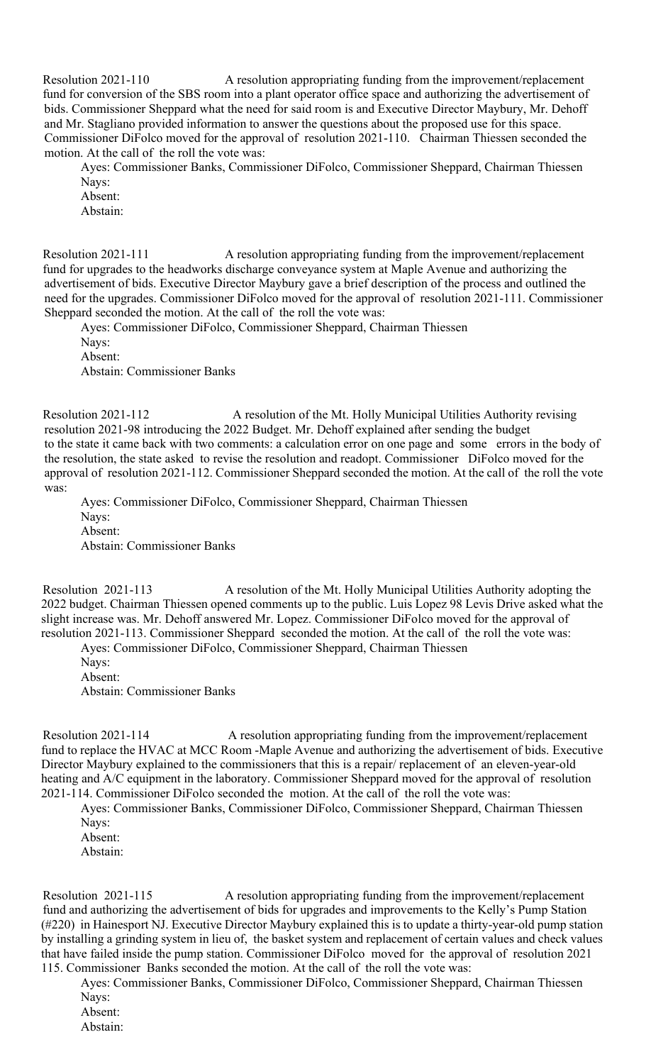Resolution 2021-110 A resolution appropriating funding from the improvement/replacement fund for conversion of the SBS room into a plant operator office space and authorizing the advertisement of bids. Commissioner Sheppard what the need for said room is and Executive Director Maybury, Mr. Dehoff and Mr. Stagliano provided information to answer the questions about the proposed use for this space. Commissioner DiFolco moved for the approval of resolution 2021-110. Chairman Thiessen seconded the motion. At the call of the roll the vote was:

Ayes: Commissioner Banks, Commissioner DiFolco, Commissioner Sheppard, Chairman Thiessen Nays:

Absent: Abstain:

Resolution 2021-111 A resolution appropriating funding from the improvement/replacement fund for upgrades to the headworks discharge conveyance system at Maple Avenue and authorizing the advertisement of bids. Executive Director Maybury gave a brief description of the process and outlined the need for the upgrades. Commissioner DiFolco moved for the approval of resolution 2021-111. Commissioner Sheppard seconded the motion. At the call of the roll the vote was:

Ayes: Commissioner DiFolco, Commissioner Sheppard, Chairman Thiessen Nays: Absent: Abstain: Commissioner Banks

Resolution 2021-112 A resolution of the Mt. Holly Municipal Utilities Authority revising resolution 2021-98 introducing the 2022 Budget. Mr. Dehoff explained after sending the budget to the state it came back with two comments: a calculation error on one page and some errors in the body of the resolution, the state asked to revise the resolution and readopt. Commissioner DiFolco moved for the approval of resolution 2021-112. Commissioner Sheppard seconded the motion. At the call of the roll the vote was:

Ayes: Commissioner DiFolco, Commissioner Sheppard, Chairman Thiessen Nays: Absent: Abstain: Commissioner Banks

Resolution 2021-113 A resolution of the Mt. Holly Municipal Utilities Authority adopting the 2022 budget. Chairman Thiessen opened comments up to the public. Luis Lopez 98 Levis Drive asked what the slight increase was. Mr. Dehoff answered Mr. Lopez. Commissioner DiFolco moved for the approval of resolution 2021-113. Commissioner Sheppard seconded the motion. At the call of the roll the vote was:

Ayes: Commissioner DiFolco, Commissioner Sheppard, Chairman Thiessen

Nays:

Absent:

Abstain: Commissioner Banks

Resolution 2021-114 A resolution appropriating funding from the improvement/replacement fund to replace the HVAC at MCC Room -Maple Avenue and authorizing the advertisement of bids. Executive Director Maybury explained to the commissioners that this is a repair/ replacement of an eleven-year-old heating and A/C equipment in the laboratory. Commissioner Sheppard moved for the approval of resolution 2021-114. Commissioner DiFolco seconded the motion. At the call of the roll the vote was:

Ayes: Commissioner Banks, Commissioner DiFolco, Commissioner Sheppard, Chairman Thiessen Nays: Absent:

Abstain:

Resolution 2021-115 A resolution appropriating funding from the improvement/replacement fund and authorizing the advertisement of bids for upgrades and improvements to the Kelly's Pump Station (#220) in Hainesport NJ. Executive Director Maybury explained this is to update a thirty-year-old pump station by installing a grinding system in lieu of, the basket system and replacement of certain values and check values that have failed inside the pump station. Commissioner DiFolco moved for the approval of resolution 2021 115. Commissioner Banks seconded the motion. At the call of the roll the vote was:

Ayes: Commissioner Banks, Commissioner DiFolco, Commissioner Sheppard, Chairman Thiessen Nays: Absent:

Abstain: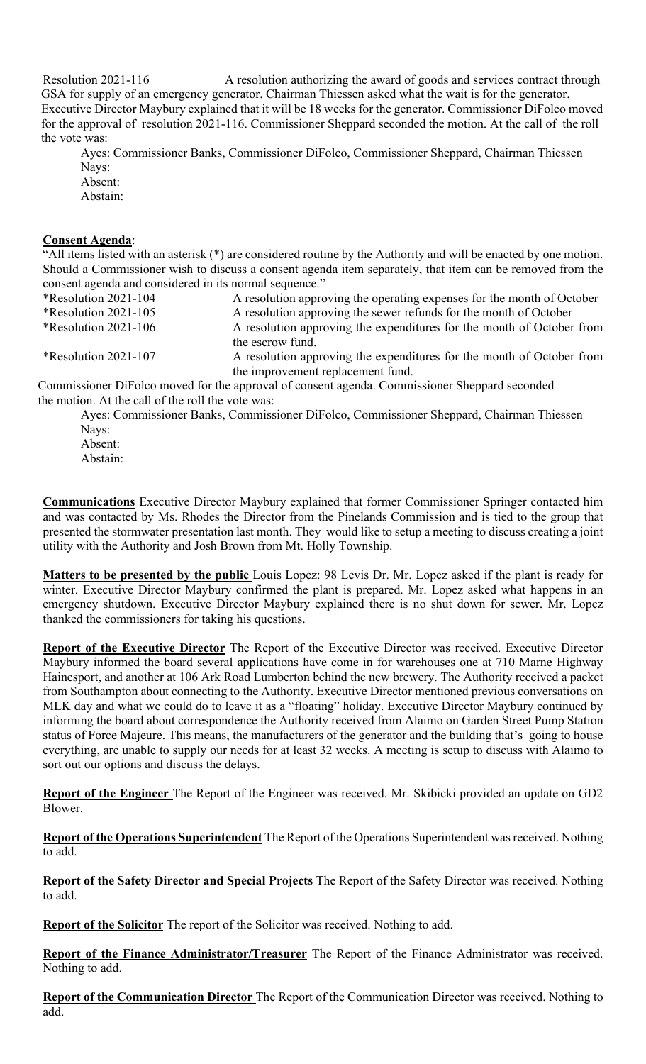Resolution 2021-116 A resolution authorizing the award of goods and services contract through GSA for supply of an emergency generator. Chairman Thiessen asked what the wait is for the generator. Executive Director Maybury explained that it will be 18 weeks for the generator. Commissioner DiFolco moved for the approval of resolution 2021-116. Commissioner Sheppard seconded the motion. At the call of the roll the vote was:

Ayes: Commissioner Banks, Commissioner DiFolco, Commissioner Sheppard, Chairman Thiessen Nays:

Absent:

Abstain:

#### **Consent Agenda**:

"All items listed with an asterisk (\*) are considered routine by the Authority and will be enacted by one motion. Should a Commissioner wish to discuss a consent agenda item separately, that item can be removed from the consent agenda and considered in its normal sequence."

\*Resolution 2021-104 A resolution approving the operating expenses for the month of October \*Resolution 2021-105 A resolution approving the sewer refunds for the month of October<br>\*Resolution 2021-106 A resolution approving the expenditures for the month of October A resolution approving the expenditures for the month of October from the escrow fund. \*Resolution 2021-107 A resolution approving the expenditures for the month of October from the improvement replacement fund.

Commissioner DiFolco moved for the approval of consent agenda. Commissioner Sheppard seconded the motion. At the call of the roll the vote was:

Ayes: Commissioner Banks, Commissioner DiFolco, Commissioner Sheppard, Chairman Thiessen Nays:

Absent: Abstain:

**Communications** Executive Director Maybury explained that former Commissioner Springer contacted him and was contacted by Ms. Rhodes the Director from the Pinelands Commission and is tied to the group that presented the stormwater presentation last month. They would like to setup a meeting to discuss creating a joint utility with the Authority and Josh Brown from Mt. Holly Township.

**Matters to be presented by the public** Louis Lopez: 98 Levis Dr. Mr. Lopez asked if the plant is ready for winter. Executive Director Maybury confirmed the plant is prepared. Mr. Lopez asked what happens in an emergency shutdown. Executive Director Maybury explained there is no shut down for sewer. Mr. Lopez thanked the commissioners for taking his questions.

**Report of the Executive Director** The Report of the Executive Director was received. Executive Director Maybury informed the board several applications have come in for warehouses one at 710 Marne Highway Hainesport, and another at 106 Ark Road Lumberton behind the new brewery. The Authority received a packet from Southampton about connecting to the Authority. Executive Director mentioned previous conversations on MLK day and what we could do to leave it as a "floating" holiday. Executive Director Maybury continued by informing the board about correspondence the Authority received from Alaimo on Garden Street Pump Station status of Force Majeure. This means, the manufacturers of the generator and the building that's going to house everything, are unable to supply our needs for at least 32 weeks. A meeting is setup to discuss with Alaimo to sort out our options and discuss the delays.

**Report of the Engineer** The Report of the Engineer was received. Mr. Skibicki provided an update on GD2 Blower.

**Report of the Operations Superintendent** The Report of the Operations Superintendent was received. Nothing to add.

**Report of the Safety Director and Special Projects** The Report of the Safety Director was received. Nothing to add.

**Report of the Solicitor** The report of the Solicitor was received. Nothing to add.

**Report of the Finance Administrator/Treasurer** The Report of the Finance Administrator was received. Nothing to add.

**Report of the Communication Director** The Report of the Communication Director was received. Nothing to add.